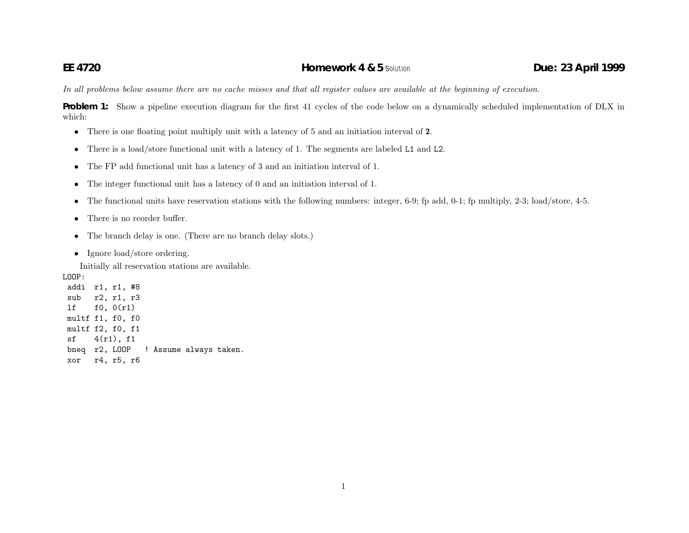In all problems below assume there are no cache misses and that all register values are available at the beginning of execution.

**Problem 1:** Show <sup>a</sup> <sup>p</sup>ipeline execution diagram for the first 41 cycles of the code below on <sup>a</sup> dynamically scheduled implementation of DLX in which:

- There is one floating point multiply unit with <sup>a</sup> latency of 5 and an initiation interval of **2**.
- $\bullet$ There is a load/store functional unit with a latency of 1. The segments are labeled L1 and L2.
- The FP add functional unit has <sup>a</sup> latency of 3 and an initiation interval of 1.
- •The integer functional unit has <sup>a</sup> latency of 0 and an initiation interval of 1.
- The functional units have reservation stations with the following numbers: integer, 6-9; fp add, 0-1; fp multiply, 2-3; load/store, 4-5.
- $\bullet$ There is no reorder buffer.
- $\bullet$ The branch delay is one. (There are no branch delay slots.)
- Ignore load/store ordering.

Initially all reservation stations are available.

LOOP:

addi r1, r1, #8 sub r2, r1, r3 lf f0, 0(r1) multf f1, f0, f0 multf f2, f0, f1  $sf$  4(r1), f1 bneq r2, LOOP ! Assume always taken. xor r4, r5, r6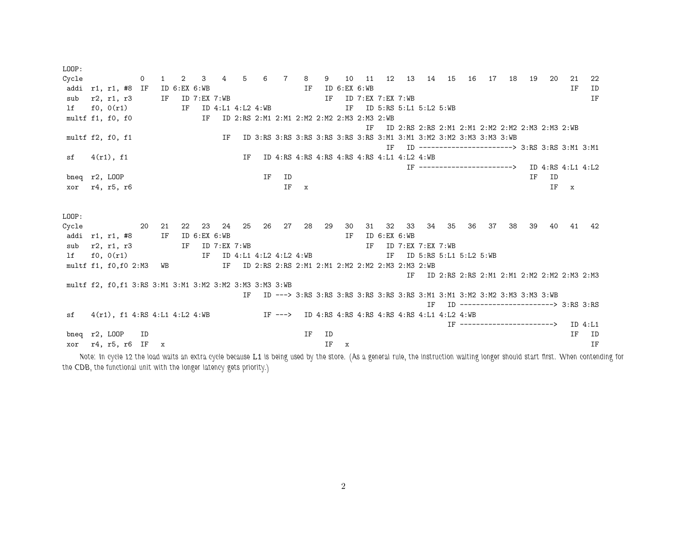| LOOP:                                                   |            |         |              |    |                                          |                |                   |    |                                                                     |              |    |              |       |                   |                           |       |    |    |                                |    |                                                                          |                   |              |          |
|---------------------------------------------------------|------------|---------|--------------|----|------------------------------------------|----------------|-------------------|----|---------------------------------------------------------------------|--------------|----|--------------|-------|-------------------|---------------------------|-------|----|----|--------------------------------|----|--------------------------------------------------------------------------|-------------------|--------------|----------|
| Cycle                                                   |            | $\circ$ | $1 \quad$    | 2  | 3                                        | $\overline{4}$ | 5                 |    | 6 7                                                                 | 8            | 9  |              | 10 11 |                   | 12  13  14  15  16        |       |    |    | 17                             | 18 | 19                                                                       | -20               | 21           | 22       |
| addi r1, r1, #8 IF                                      |            |         |              |    | ID 6:EX 6:WB                             |                |                   |    |                                                                     | IF           |    | ID 6:EX 6:WB |       |                   |                           |       |    |    |                                |    |                                                                          |                   | ΙF           | ID       |
| sub                                                     | r2, r1, r3 |         |              |    | IF ID 7:EX 7:WB                          |                |                   |    |                                                                     |              | IF |              |       | ID 7:EX 7:EX 7:WB |                           |       |    |    |                                |    |                                                                          |                   |              | IF       |
| lf                                                      | f0, 0(r1)  |         |              | IF |                                          |                | ID 4:L1 4:L2 4:WB |    |                                                                     |              |    | IF           |       |                   | ID 5:RS 5:L1 5:L2 5:WB    |       |    |    |                                |    |                                                                          |                   |              |          |
| multf f1, f0, f0                                        |            |         |              |    | IF                                       |                |                   |    | ID 2:RS 2:M1 2:M1 2:M2 2:M2 2:M3 2:M3 2:WB                          |              |    |              |       |                   |                           |       |    |    |                                |    |                                                                          |                   |              |          |
|                                                         |            |         |              |    |                                          |                |                   |    |                                                                     |              |    |              | TF.   |                   |                           |       |    |    |                                |    | ID 2:RS 2:RS 2:M1 2:M1 2:M2 2:M2 2:M3 2:M3 2:WB                          |                   |              |          |
| multf f2, f0, f1                                        |            |         |              |    |                                          | ΙF             |                   |    | ID 3:RS 3:RS 3:RS 3:RS 3:RS 3:RS 3:M1 3:M1 3:M2 3:M2 3:M3 3:M3 3:WB |              |    |              |       |                   |                           |       |    |    |                                |    |                                                                          |                   |              |          |
|                                                         |            |         |              |    |                                          |                |                   |    |                                                                     |              |    |              |       | TF.               |                           |       |    |    |                                |    | ID ------------------------> 3:RS 3:RS 3:M1 3:M1                         |                   |              |          |
| sf                                                      | 4(r1), f1  |         |              |    |                                          |                | ΙF                |    | ID 4:RS 4:RS 4:RS 4:RS 4:RS 4:RS 4:L1 4:L2 4:WB                     |              |    |              |       |                   |                           |       |    |    |                                |    |                                                                          |                   |              |          |
|                                                         |            |         |              |    |                                          |                |                   |    |                                                                     |              |    |              |       |                   |                           |       |    |    | IF --------------------------> |    |                                                                          | ID 4:RS 4:L1 4:L2 |              |          |
| bneq r2, LOOP                                           |            |         |              |    |                                          |                |                   | ΙF | ID                                                                  |              |    |              |       |                   |                           |       |    |    |                                |    | ΙF                                                                       | ID                |              |          |
| xor                                                     | r4, r5, r6 |         |              |    |                                          |                |                   |    | IF                                                                  | $\mathbf{x}$ |    |              |       |                   |                           |       |    |    |                                |    |                                                                          | IF                | $\mathbf{x}$ |          |
|                                                         |            |         |              |    |                                          |                |                   |    |                                                                     |              |    |              |       |                   |                           |       |    |    |                                |    |                                                                          |                   |              |          |
|                                                         |            |         |              |    |                                          |                |                   |    |                                                                     |              |    |              |       |                   |                           |       |    |    |                                |    |                                                                          |                   |              |          |
| LOOP:                                                   |            |         |              |    |                                          |                |                   |    |                                                                     |              |    |              |       |                   |                           |       |    |    |                                |    |                                                                          |                   |              |          |
| Cycle                                                   |            | -20     | 21           | 22 |                                          | 23 24          | 25                |    | 26 27                                                               | 28           | 29 | 30           | 31    | 32                |                           | 33 34 | 35 | 36 | 37                             | 38 | 39                                                                       | 40                | 41           | 42       |
| addi r1, r1, #8                                         |            |         | IF           |    | ID $6:EX$ $6:WB$                         |                |                   |    |                                                                     |              |    | ΙF           |       | ID 6:EX 6:WB      |                           |       |    |    |                                |    |                                                                          |                   |              |          |
| sub                                                     | r2, r1, r3 |         |              | IF |                                          |                | ID 7:EX 7:WB      |    |                                                                     |              |    |              | IF.   |                   | ID 7:EX 7:EX 7:WB         |       |    |    |                                |    |                                                                          |                   |              |          |
| lf                                                      | f0, 0(r1)  |         |              |    | IF                                       |                |                   |    | ID 4:L1 4:L2 4:L2 4:WB                                              |              |    |              |       |                   | IF ID 5:RS 5:L1 5:L2 5:WB |       |    |    |                                |    |                                                                          |                   |              |          |
| multf f1, f0, f0 2: M3 WB                               |            |         |              |    |                                          |                |                   |    | IF ID 2:RS 2:RS 2:M1 2:M1 2:M2 2:M2 2:M3 2:M3 2:WB                  |              |    |              |       |                   |                           |       |    |    |                                |    |                                                                          |                   |              |          |
|                                                         |            |         |              |    |                                          |                |                   |    |                                                                     |              |    |              |       |                   | IF.                       |       |    |    |                                |    | ID 2:RS 2:RS 2:M1 2:M1 2:M2 2:M2 2:M3 2:M3                               |                   |              |          |
| multf f2, f0,f1 3:RS 3:M1 3:M1 3:M2 3:M2 3:M3 3:M3 3:WB |            |         |              |    |                                          |                |                   |    |                                                                     |              |    |              |       |                   |                           |       |    |    |                                |    |                                                                          |                   |              |          |
|                                                         |            |         |              |    |                                          |                | TF.               |    |                                                                     |              |    |              |       |                   |                           |       |    |    |                                |    | ID ---> 3:RS 3:RS 3:RS 3:RS 3:RS 3:RS 3:M1 3:M1 3:M2 3:M2 3:M3 3:M3 3:WB |                   |              |          |
|                                                         |            |         |              |    |                                          |                |                   |    |                                                                     |              |    |              |       |                   |                           | TF    |    |    |                                |    | ID ------------------------> 3:RS 3:RS                                   |                   |              |          |
| sf                                                      |            |         |              |    | $4(r1)$ , f1 $4:RS$ $4:LI$ $4:L2$ $4:WB$ |                |                   |    | IF ---> ID 4:RS 4:RS 4:RS 4:RS 4:RS 4:RS 4:L1 4:L2 4:WB             |              |    |              |       |                   |                           |       |    |    |                                |    |                                                                          |                   |              |          |
|                                                         |            |         |              |    |                                          |                |                   |    |                                                                     |              |    |              |       |                   |                           |       |    |    |                                |    | TF ------------------------>                                             |                   |              | ID 4: L1 |
| bneg r2, LOOP                                           |            | ID      |              |    |                                          |                |                   |    |                                                                     | <b>TF</b>    | ID |              |       |                   |                           |       |    |    |                                |    |                                                                          |                   | TF           | ID       |
| xor r4, r5, r6 IF                                       |            |         | $\mathbf{x}$ |    |                                          |                |                   |    |                                                                     |              | IF | X            |       |                   |                           |       |    |    |                                |    |                                                                          |                   |              | ΙF       |

Note: In cycle 12 the load waits an extra cycle because L1 is being used by the store. (As a general rule, the instruction waiting longer should start first. When contending for *the CDB, the functional unit with the longer latency gets priority.)*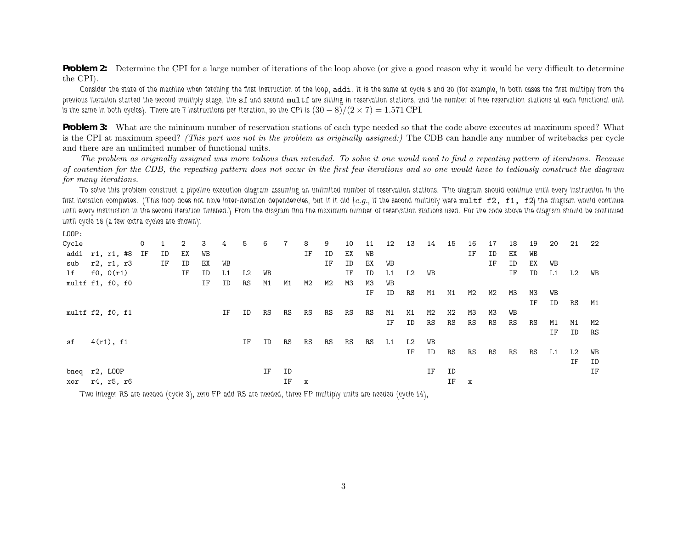**Problem 2:** Determine the CPI for a large number of iterations of the loop above (or give a good reason why it would be very difficult to determine the CPI).

Consider the state of the machine when fetching the first instruction of the loop, addi. It is the same at cycle 8 and 30 (for example, in both cases the first multiply from the previous iteration started the second multiply stage, the sf and second multf are sitting in reservation stations, and the number of free reservation stations at each functional unit is the same in both cycles). There are 7 instructions per iteration, so the CPI is  $(30-8)/(2\times7) = 1.571$  CPI.

**Problem 3:** What are the minimum number of reservation stations of each type needed so that the code above executes at maximum speed? What is the CPI at maximum speed? (This part was not in the problem as originally assigned:) The CDB can handle any number of writebacks per cycle and there are an unlimited number of functional units.

The problem as originally assigned was more tedious than intended. To solve it one would need to find a repeating pattern of iterations. Because of contention for the CDB, the repeating pattern does not occur in the first few iterations and so one would have to tediously construct the diagram *for many iterations.*

To solve this problem construct a pipeline execution diagram assuming an unlimited number of reservation stations. The diagram should continue until every instruction in the first iteration completes. (This loop does not have inter-iteration dependencies, but if it did [e.g., if the second multiply were  $\texttt{multf f2, f1, f2}$  the diagram would continue until every instruction in the second iteration finished.) From the diagram find the maximum number of reservation stations used. For the code above the diagram should be continued *until cycle <sup>18</sup> (a few extra cycles are shown):*

| LOOP:            |            |  |         |    |    |    |    |    |    |                 |                |    |    |    |    |    |    |    |    |    |    |    |    |                |    |
|------------------|------------|--|---------|----|----|----|----|----|----|-----------------|----------------|----|----|----|----|----|----|----|----|----|----|----|----|----------------|----|
| Cycle            |            |  | $\circ$ |    | 2  | 3  | 4  | 5  | 6  | $7\overline{ }$ | 8              | 9  | 10 | 11 | 12 | 13 | 14 | 15 | 16 | 17 | 18 | 19 | 20 | 21             | 22 |
| addi             | r1, r1, #8 |  | ΙF      | ID | ЕX | WB |    |    |    |                 | ΙF             | ID | ЕX | WВ |    |    |    |    | IF | ID | ЕX | WB |    |                |    |
| sub              | r2, r1, r3 |  |         | ΙF | ID | ЕX | WB |    |    |                 |                | ΙF | ID | ЕX | WB |    |    |    |    | ΙF | ID | ЕX | WВ |                |    |
| lf               | f0, 0(r1)  |  |         |    | ΙF | ID | L1 | L2 | WB |                 |                |    | ΙF | ID | L1 | L2 | WВ |    |    |    | IF | ID | L1 | L2             | WB |
| multf f1, f0, f0 |            |  |         |    |    | ΙF | ID | RS | M1 | M1              | M <sub>2</sub> | M2 | МЗ | МЗ | WB |    |    |    |    |    |    |    |    |                |    |
|                  |            |  |         |    |    |    |    |    |    |                 |                |    |    | ΙF | ID | RS | M1 | M1 | M2 | M2 | МЗ | MЗ | WB |                |    |
|                  |            |  |         |    |    |    |    |    |    |                 |                |    |    |    |    |    |    |    |    |    |    | ΙF | ID | RS             | M1 |
| multf f2, f0, f1 |            |  |         |    |    |    | ΙF | ID | RS | RS              | RS             | RS | RS | RS | M1 | M1 | M2 | M2 | ΜЗ | ΜЗ | WB |    |    |                |    |
|                  |            |  |         |    |    |    |    |    |    |                 |                |    |    |    | ΙF | ID | RS | RS | RS | RS | RS | RS | M1 | M1             | M2 |
|                  |            |  |         |    |    |    |    |    |    |                 |                |    |    |    |    |    |    |    |    |    |    |    | ΙF | ID             | RS |
| sf               | 4(r1), f1  |  |         |    |    |    |    | ΙF | ID | RS              | RS             | RS | RS | RS | L1 | L2 | WВ |    |    |    |    |    |    |                |    |
|                  |            |  |         |    |    |    |    |    |    |                 |                |    |    |    |    | IF | ID | RS | RS | RS | RS | RS | L1 | L <sub>2</sub> | WB |
|                  |            |  |         |    |    |    |    |    |    |                 |                |    |    |    |    |    |    |    |    |    |    |    |    | ΙF             | ID |
| bneq r2, LOOP    |            |  |         |    |    |    |    |    | ΙF | ID              |                |    |    |    |    |    | ΙF | ID |    |    |    |    |    |                | ΙF |
| xor              | r4, r5, r6 |  |         |    |    |    |    |    |    | IF              | X              |    |    |    |    |    |    | ΙF | X  |    |    |    |    |                |    |

Two integer RS are needed (cycle 3), zero FP add RS are needed, three FP multiply units are needed (cycle 14),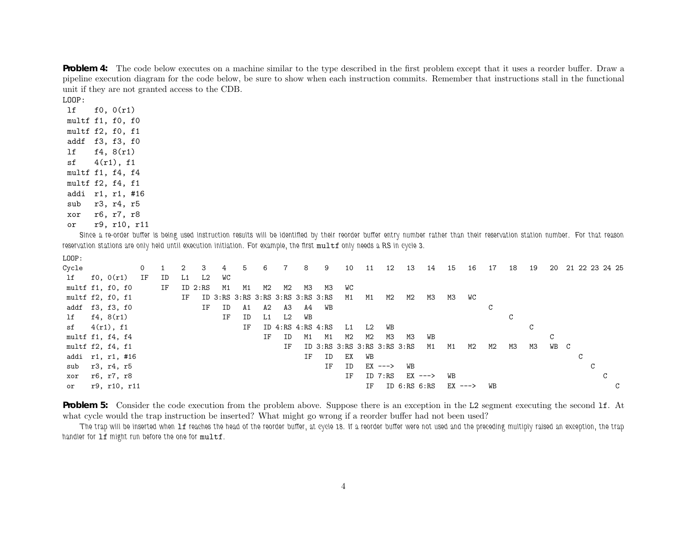**Problem 4:** The code below executes on <sup>a</sup> machine similar to the type described in the first problem except that it uses <sup>a</sup> reorder buffer. Draw <sup>a</sup> <sup>p</sup>ipeline execution diagram for the code below, be sure to show when each instruction commits. Remember that instructions stall in the functional unit if they are not granted access to the CDB.

LOOP:

lf f0, 0(r1) multf f1, f0, f0 multf f2, f0, f1 addf f3, f3, f0 lf f4, 8(r1)  $sf$  4(r1), f1 multf f1, f4, f4 multf f2, f4, f1 addi r1, r1, #16 sub r3, r4, r5 xor r6, r7, r8 or r9, r10, r11

Since a re-order buffer is being used instruction results will be identified by their reorder buffer entry number rather than their reservation station number. For that reason reservation stations are only held until execution initiation. For example, the first multf only needs a RS in cycle 3.

LOOP:

| Cycle |                          | $\circ$ |    | 2  | 3       | 4  | $\mathbf b$                      | 6  |                         | 8  | 9  | 10 | 11 | 12        | 13                          | 14        | 15        | 16 | 17 | 18 | 19 | 20 |   |   | 21 22 23 24 25 |  |
|-------|--------------------------|---------|----|----|---------|----|----------------------------------|----|-------------------------|----|----|----|----|-----------|-----------------------------|-----------|-----------|----|----|----|----|----|---|---|----------------|--|
| lf    | f0, 0(r1)                | ΙF      | ID | L1 | L2      | WС |                                  |    |                         |    |    |    |    |           |                             |           |           |    |    |    |    |    |   |   |                |  |
|       | multf f1, f0, f0         |         | IF |    | ID 2:RS | M1 | M1                               | M2 | M2                      | МЗ | МЗ | WC |    |           |                             |           |           |    |    |    |    |    |   |   |                |  |
|       | multf $f2$ , $f0$ , $f1$ |         |    | IF |         |    | ID 3:RS 3:RS 3:RS 3:RS 3:RS 3:RS |    |                         |    |    | M1 | M1 | M2        | M2                          | ΜЗ        | ΜЗ        | WC |    |    |    |    |   |   |                |  |
|       | addf f3, f3, f0          |         |    |    | IF      | ID | A1                               | A2 | ΑЗ                      | A4 | WB |    |    |           |                             |           |           |    | C  |    |    |    |   |   |                |  |
| lf    | f4, 8(r1)                |         |    |    |         | ΙF | ID                               | L1 | L2                      | WB |    |    |    |           |                             |           |           |    |    | C  |    |    |   |   |                |  |
| sf    | 4(r1), f1                |         |    |    |         |    | IF                               |    | ID $4:RS$ $4:RS$ $4:RS$ |    |    | L1 | L2 | WB        |                             |           |           |    |    |    | C  |    |   |   |                |  |
|       | multf f1, f4, f4         |         |    |    |         |    |                                  | ΙF | ID                      | M1 | M1 | M2 | M2 | ΜЗ        | МЗ                          | WB        |           |    |    |    |    | C  |   |   |                |  |
|       | multf f2, f4, f1         |         |    |    |         |    |                                  |    | ΙF                      |    |    |    |    |           | ID 3:RS 3:RS 3:RS 3:RS 3:RS | M1        | M1        | M2 | M2 | ΜЗ | ΜЗ | WB | C |   |                |  |
|       | addi r1, r1, #16         |         |    |    |         |    |                                  |    |                         | ΙF | ID | EX | WB |           |                             |           |           |    |    |    |    |    |   |   |                |  |
| sub   | r3, r4, r5               |         |    |    |         |    |                                  |    |                         |    | IF | ID |    | $EX$ ---> | WB                          |           |           |    |    |    |    |    |   | C |                |  |
| xor   | r6, r7, r8               |         |    |    |         |    |                                  |    |                         |    |    | IF |    | ID 7:RS   |                             | $EX$ ---> | WВ        |    |    |    |    |    |   |   | C              |  |
| or    | r9, r10, r11             |         |    |    |         |    |                                  |    |                         |    |    |    | ΙF |           | ID $6:RS$ $6:RS$            |           | $EX$ ---> |    | WB |    |    |    |   |   |                |  |

**Problem 5:** Consider the code execution from the problem above. Suppose there is an exception in the L2 segment executing the second 1f. At what cycle would the trap instruction be inserted? What might go wrong if <sup>a</sup> reorder buffer had not been used?

The trap will be inserted when 1f reaches the head of the reorder buffer, at cycle 18. If a reorder buffer were not used and the preceding multiply raised an exception, the trap *handler for* lf *might run before the one for* multf*.*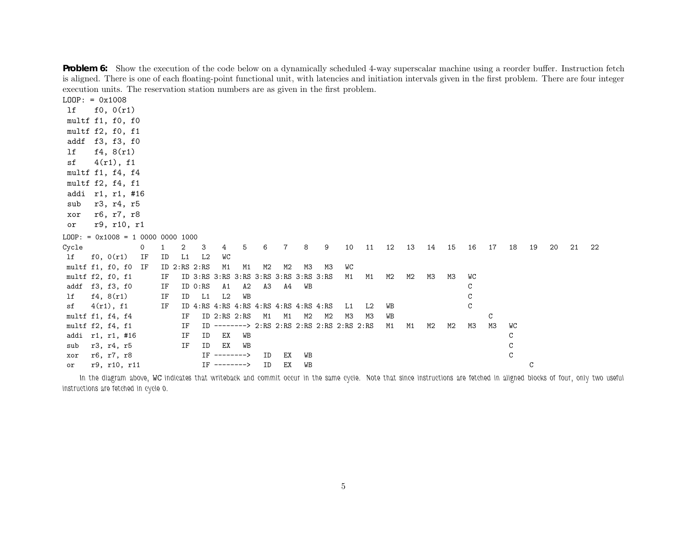| execution units. The reservation station numbers are as given in the first problem. |              |  |    |    |    |                    |                    |    |                |                 |                                                 |    |    |    |    |    |            |    |              |                |               |    |    |    |    |
|-------------------------------------------------------------------------------------|--------------|--|----|----|----|--------------------|--------------------|----|----------------|-----------------|-------------------------------------------------|----|----|----|----|----|------------|----|--------------|----------------|---------------|----|----|----|----|
| $LOOP: = 0x1008$                                                                    |              |  |    |    |    |                    |                    |    |                |                 |                                                 |    |    |    |    |    |            |    |              |                |               |    |    |    |    |
| lf                                                                                  | f0, 0(r1)    |  |    |    |    |                    |                    |    |                |                 |                                                 |    |    |    |    |    |            |    |              |                |               |    |    |    |    |
| multf f1, f0, f0                                                                    |              |  |    |    |    |                    |                    |    |                |                 |                                                 |    |    |    |    |    |            |    |              |                |               |    |    |    |    |
| multf f2, f0, f1                                                                    |              |  |    |    |    |                    |                    |    |                |                 |                                                 |    |    |    |    |    |            |    |              |                |               |    |    |    |    |
| addf f3, f3, f0                                                                     |              |  |    |    |    |                    |                    |    |                |                 |                                                 |    |    |    |    |    |            |    |              |                |               |    |    |    |    |
| lf                                                                                  | f4, 8(r1)    |  |    |    |    |                    |                    |    |                |                 |                                                 |    |    |    |    |    |            |    |              |                |               |    |    |    |    |
| sf                                                                                  | 4(r1), f1    |  |    |    |    |                    |                    |    |                |                 |                                                 |    |    |    |    |    |            |    |              |                |               |    |    |    |    |
| multf f1, f4, f4                                                                    |              |  |    |    |    |                    |                    |    |                |                 |                                                 |    |    |    |    |    |            |    |              |                |               |    |    |    |    |
| multf f2, f4, f1                                                                    |              |  |    |    |    |                    |                    |    |                |                 |                                                 |    |    |    |    |    |            |    |              |                |               |    |    |    |    |
| addi r1, r1, #16                                                                    |              |  |    |    |    |                    |                    |    |                |                 |                                                 |    |    |    |    |    |            |    |              |                |               |    |    |    |    |
| sub                                                                                 | r3, r4, r5   |  |    |    |    |                    |                    |    |                |                 |                                                 |    |    |    |    |    |            |    |              |                |               |    |    |    |    |
| xor                                                                                 | r6, r7, r8   |  |    |    |    |                    |                    |    |                |                 |                                                 |    |    |    |    |    |            |    |              |                |               |    |    |    |    |
| or                                                                                  | r9, r10, r1  |  |    |    |    |                    |                    |    |                |                 |                                                 |    |    |    |    |    |            |    |              |                |               |    |    |    |    |
| $LOOP: = 0x1008 = 1 0000 0000 1000$                                                 |              |  |    |    |    |                    |                    |    |                |                 |                                                 |    |    |    |    |    |            |    |              |                |               |    |    |    |    |
| Cycle                                                                               |              |  | 0  | 1  | 2  | 3                  | $4\overline{ }$    | 5  | 6              | $7\overline{ }$ | 8                                               | 9  | 10 | 11 | 12 |    | 13  14  15 |    | 16           | 17             | 18            | 19 | 20 | 21 | 22 |
| lf                                                                                  | f0, 0(r1)    |  | IF | ID | L1 | L2                 | WC                 |    |                |                 |                                                 |    |    |    |    |    |            |    |              |                |               |    |    |    |    |
| multf f1, f0, f0 IF                                                                 |              |  |    |    |    | $ID$ $2:RS$ $2:RS$ | M1                 | M1 | M2             | M2              | МЗ                                              | ΜЗ | WC |    |    |    |            |    |              |                |               |    |    |    |    |
| multf f2, f0, f1                                                                    |              |  |    | IF |    |                    |                    |    |                |                 |                                                 |    | M1 | M1 | M2 | M2 | ΜЗ         | ΜЗ | WC           |                |               |    |    |    |    |
| addf f3, f3, f0                                                                     |              |  |    | IF |    | ID 0:RS            | A1                 | A2 | A <sub>3</sub> | A4              | WB                                              |    |    |    |    |    |            |    | C            |                |               |    |    |    |    |
| lf                                                                                  | f4, 8(r1)    |  |    | ΙF | ID | L1                 | L2                 | WB |                |                 |                                                 |    |    |    |    |    |            |    | C            |                |               |    |    |    |    |
| sf                                                                                  | 4(r1), f1    |  |    | ΙF |    |                    |                    |    |                |                 |                                                 |    | L1 | L2 | WB |    |            |    | $\mathsf{C}$ |                |               |    |    |    |    |
| multf f1, f4, f4                                                                    |              |  |    |    | IF |                    | $ID$ $2:RS$ $2:RS$ |    | M1             | M1              | M2                                              | M2 | MЗ | ΜЗ | WB |    |            |    |              | C              |               |    |    |    |    |
| multf f2, f4, f1                                                                    |              |  |    |    | IF |                    |                    |    |                |                 | ID --------> 2:RS 2:RS 2:RS 2:RS 2:RS 2:RS 2:RS |    |    |    | M1 | M1 | M2         | M2 | ΜЗ           | M <sub>3</sub> | WC            |    |    |    |    |
| addi r1, r1, #16                                                                    |              |  |    |    | IF | ID                 | EX                 | WB |                |                 |                                                 |    |    |    |    |    |            |    |              |                | С             |    |    |    |    |
| sub                                                                                 | r3, r4, r5   |  |    |    | ΙF | ID                 | ЕX                 | WВ |                |                 |                                                 |    |    |    |    |    |            |    |              |                | C             |    |    |    |    |
| xor                                                                                 | r6, r7, r8   |  |    |    |    | TF                 | -------->          |    | ID             | ЕX              | WB                                              |    |    |    |    |    |            |    |              |                | $\mathcal{C}$ |    |    |    |    |
| or                                                                                  | r9, r10, r11 |  |    |    |    |                    | $IF$ -------->     |    | ΙD             | ЕX              | WB                                              |    |    |    |    |    |            |    |              |                |               | C  |    |    |    |

**Problem 6:** Show the execution of the code below on a dynamically scheduled 4-way superscalar machine using a reorder buffer. Instruction fetch is aligned. There is one of each floating-point functional unit, with latencies and initiation intervals given in the first problem. There are four integer execution units. The reservation station numbers are as given in the first problem.

In the diagram above, WC indicates that writeback and commit occur in the same cycle. Note that since instructions are fetched in aligned blocks of four, only two useful *instructions are fetched in cycle 0.*